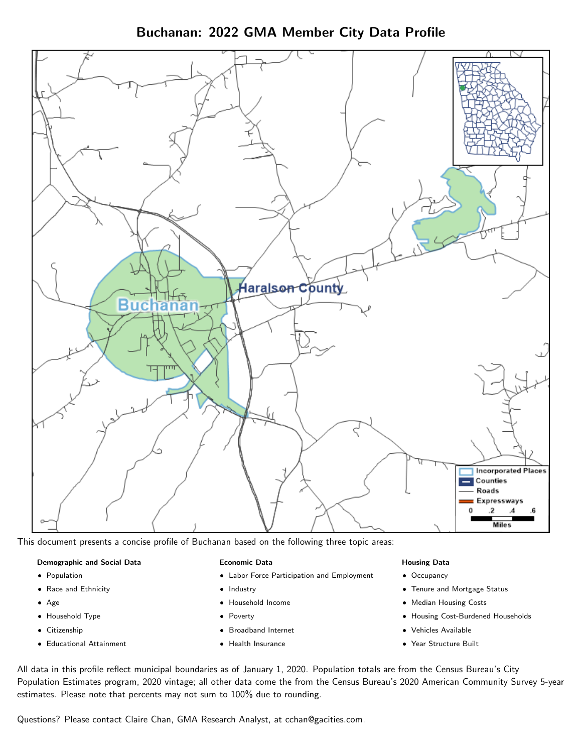Buchanan: 2022 GMA Member City Data Profile



This document presents a concise profile of Buchanan based on the following three topic areas:

#### Demographic and Social Data

- **•** Population
- Race and Ethnicity
- Age
- Household Type
- **Citizenship**
- Educational Attainment

#### Economic Data

- Labor Force Participation and Employment
- Industry
- Household Income
- Poverty
- Broadband Internet
- Health Insurance

#### Housing Data

- Occupancy
- Tenure and Mortgage Status
- Median Housing Costs
- Housing Cost-Burdened Households
- Vehicles Available
- Year Structure Built

All data in this profile reflect municipal boundaries as of January 1, 2020. Population totals are from the Census Bureau's City Population Estimates program, 2020 vintage; all other data come the from the Census Bureau's 2020 American Community Survey 5-year estimates. Please note that percents may not sum to 100% due to rounding.

Questions? Please contact Claire Chan, GMA Research Analyst, at [cchan@gacities.com.](mailto:cchan@gacities.com)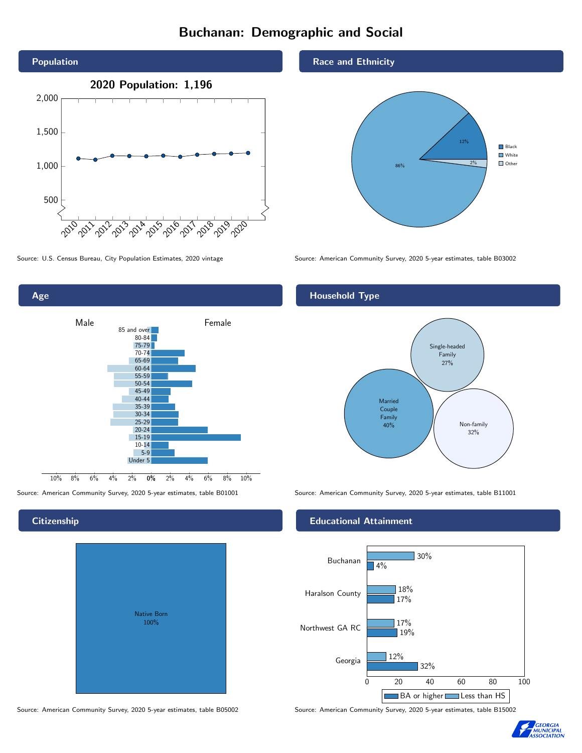# Buchanan: Demographic and Social



0% 2% 4% 6% 8% 10% Male **Female** 10% 8% 6% 4% 2% 85 and over 80-84 75-79 70-74 65-69 60-64 55-59 50-54 45-49 40-44 35-39 30-34 25-29 20-24 15-19 10-14 5-9 Under 5

# **Citizenship**

Age

| <b>Native Born</b><br>100% |  |
|----------------------------|--|

Race and Ethnicity



Source: U.S. Census Bureau, City Population Estimates, 2020 vintage Source: American Community Survey, 2020 5-year estimates, table B03002

## Household Type



Source: American Community Survey, 2020 5-year estimates, table B01001 Source: American Community Survey, 2020 5-year estimates, table B11001

#### Educational Attainment



Source: American Community Survey, 2020 5-year estimates, table B05002 Source: American Community Survey, 2020 5-year estimates, table B15002

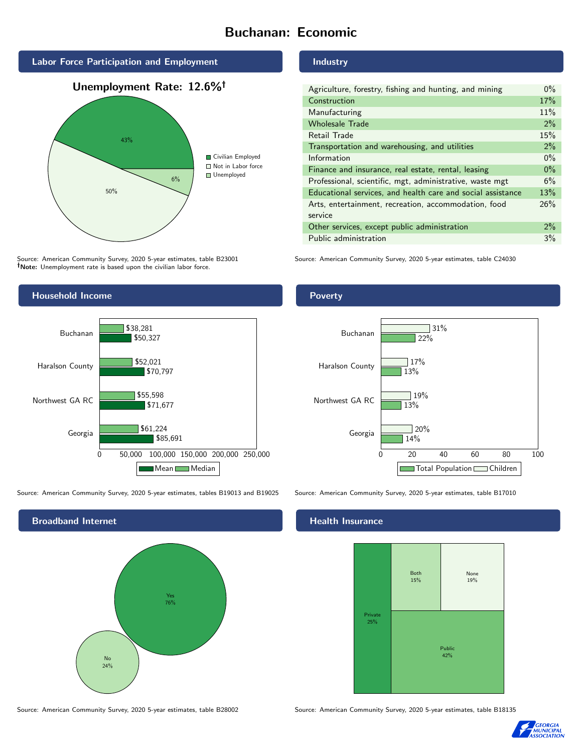# Buchanan: Economic





Source: American Community Survey, 2020 5-year estimates, table B23001 Note: Unemployment rate is based upon the civilian labor force.

# Industry

| Agriculture, forestry, fishing and hunting, and mining      | $0\%$ |
|-------------------------------------------------------------|-------|
| Construction                                                | 17%   |
| Manufacturing                                               | 11%   |
| <b>Wholesale Trade</b>                                      | $2\%$ |
| Retail Trade                                                | 15%   |
| Transportation and warehousing, and utilities               | 2%    |
| Information                                                 | $0\%$ |
| Finance and insurance, real estate, rental, leasing         | $0\%$ |
| Professional, scientific, mgt, administrative, waste mgt    | 6%    |
| Educational services, and health care and social assistance | 13%   |
| Arts, entertainment, recreation, accommodation, food        | 26%   |
| service                                                     |       |
| Other services, except public administration                |       |
| Public administration                                       | 3%    |

Source: American Community Survey, 2020 5-year estimates, table C24030



Source: American Community Survey, 2020 5-year estimates, tables B19013 and B19025 Source: American Community Survey, 2020 5-year estimates, table B17010



Source: American Community Survey, 2020 5-year estimates, table B28002 Source: American Community Survey, 2020 5-year estimates, table B18135

#### Poverty



# **Health Insurance**